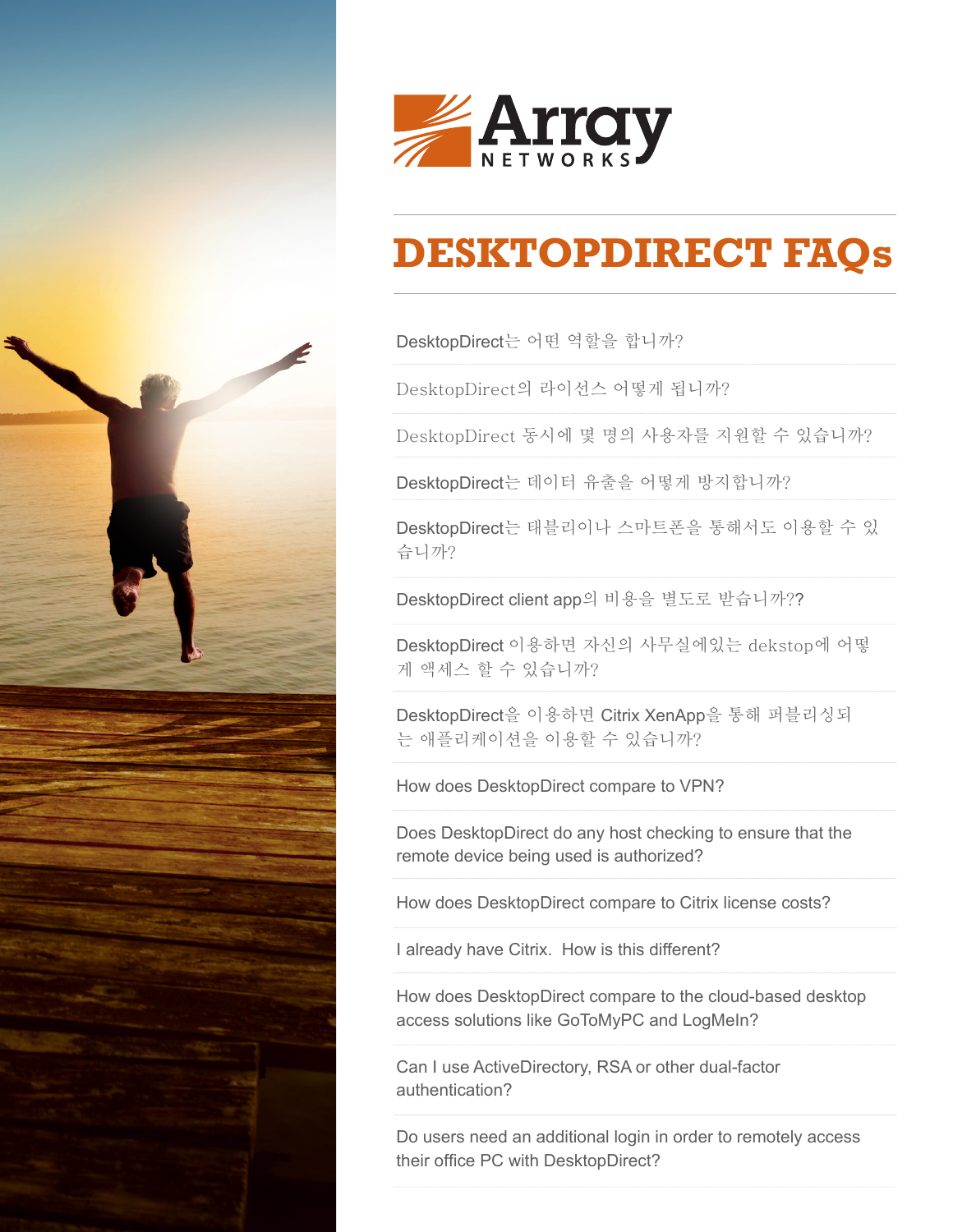



# **DESKTOPDIRECT FAQs**

DesktopDirect는 어떤 역할을 합니까?

DesktopDirect의 라이선스 기준은 무엇입니까?

DesktopDirect 동시에 몇 명의 사용자를 지원합니까?

DesktopDirect는 데이터 유출을 어떻게 방지합니까?

DesktopDirect는 태블릿이나 스마트폰을 통해서도 이용할 수 있 습니까?

DesktopDirect client app의 비용을 별도로 받습니까??

DesktopDirect 이용하면 자신의 사무실에있는 dekstop에 어떻 게 액세스 할 수 있습니까?

DesktopDirect을 이용하면 Citrix XenApp을 통해 퍼블리싱되 는 애플리케이션을 이용할 수 있습니까?

DesktopDirect는 VPN과는 어떻게 다릅니까?

DesktopDirect는 원격 디바이스의 권한 검사를 위한 호스트 체킹을 지원합니까?

DesktopDirect와 Cltrix 라이선스를 비교하면 어떻습니까?

우리는 이미 CITRIX를 사용하고 있습니다. 뭐가 다릅니까?

DesktopDirect는 클라우드 기반의 원격 데스크톱 접속 솔루션 과 어떤 차별성이 있습니까?

ActiveDirectory, RSA 또는 다른 MFA인증 솔루션 과 연동이 됩니까?

DektopDirect를 이용하여 사무실에 있는 PC에 로그인할 때 추가로 로그인을 해야 합니까?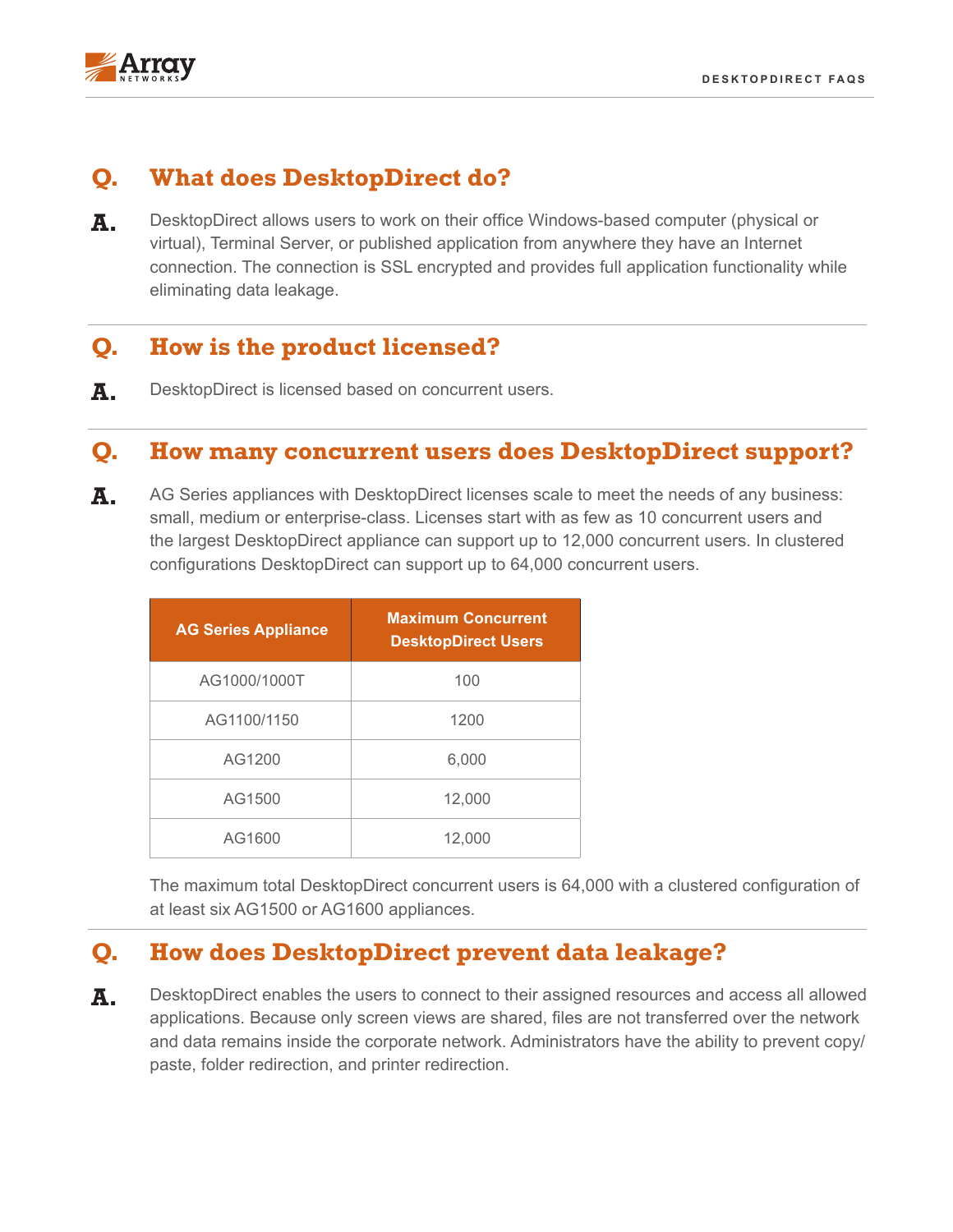

# **Q. DesktopDirect** 는 어떤 역할을 합니까?

**A.** DesktopDirect<sup>를</sup> 사용하면 인터넷에 연결된 어디에서나 사무실의 Windows 기반 컴퓨터 (실제 또는 가상), 터미널 서버 또는 응용 프로그램에서 작업 할 수 있습니다. 통신은 SSL로 암호화되고 데이터 유 출을 방지하면서 완전한 애플리케이션 기능을 제공합니다.

# **Q. DesktopDirect**의 라이선스 기준은 무엇입니까**?**

**A.** DesktopDirect<sup>의</sup> 라이선스는 동시접속자 수를 기준으로 합니다.

## **Q. DesktopDirect** 동시에 몇 명의 사용자를 지원합니까**?**

**A.** DesktopDirect License<sup>가</sup> 있는 AG 시리즈는 다양한 사용자 수를 지원합니다. 중소 기업 규모. 라이센스는 최소 10 명의 동시 사용자에서 시작하며 가장 큰 DesktopDirect 어플라이언스는 최대 12,000 명의 동시 사용자를 지원할 수 있습니다. 클러스터 구성에서 DesktopDirect는 최대 64,000 명의 동시 사용자를 지원할 수 있습니다.

| <b>AG Series Appliance</b> | <b>Maximum Concurrent</b><br><b>DesktopDirect Users</b> |
|----------------------------|---------------------------------------------------------|
| AG1000/1000T               | 100                                                     |
| AG1100/1150                | 1200                                                    |
| AG1200                     | 6,000                                                   |
| AG1500                     | 12,000                                                  |
| AG1600                     | 12,000                                                  |

최소 6 개의 AG1500 또는 AG1600 어플라이언스를 클러스터로 구성하면 최대 64,000명의 동 시 사용자를 지원할 수 있습니다.

# **Q. DesktopDirect**는 데이터 유출을 어떻게 방지합니까**?**

**A.** DesktopDirect<sup>를</sup> 통해 사용자는 허용 <sup>된</sup> 모든 응용 프로그램에 액세스 <sup>할</sup> <sup>수</sup> 있습니다. Screen만 공유되기 때문에 파일이 네트워크를 통해 전송되지 않고 데이터는 회사 네트워크 내부에 남 아 있습니다. 관리자는 복사 / 붙여 넣기, 폴더 리디렉션 및 프린터 리디렉션을 방지 할 수 있습니다.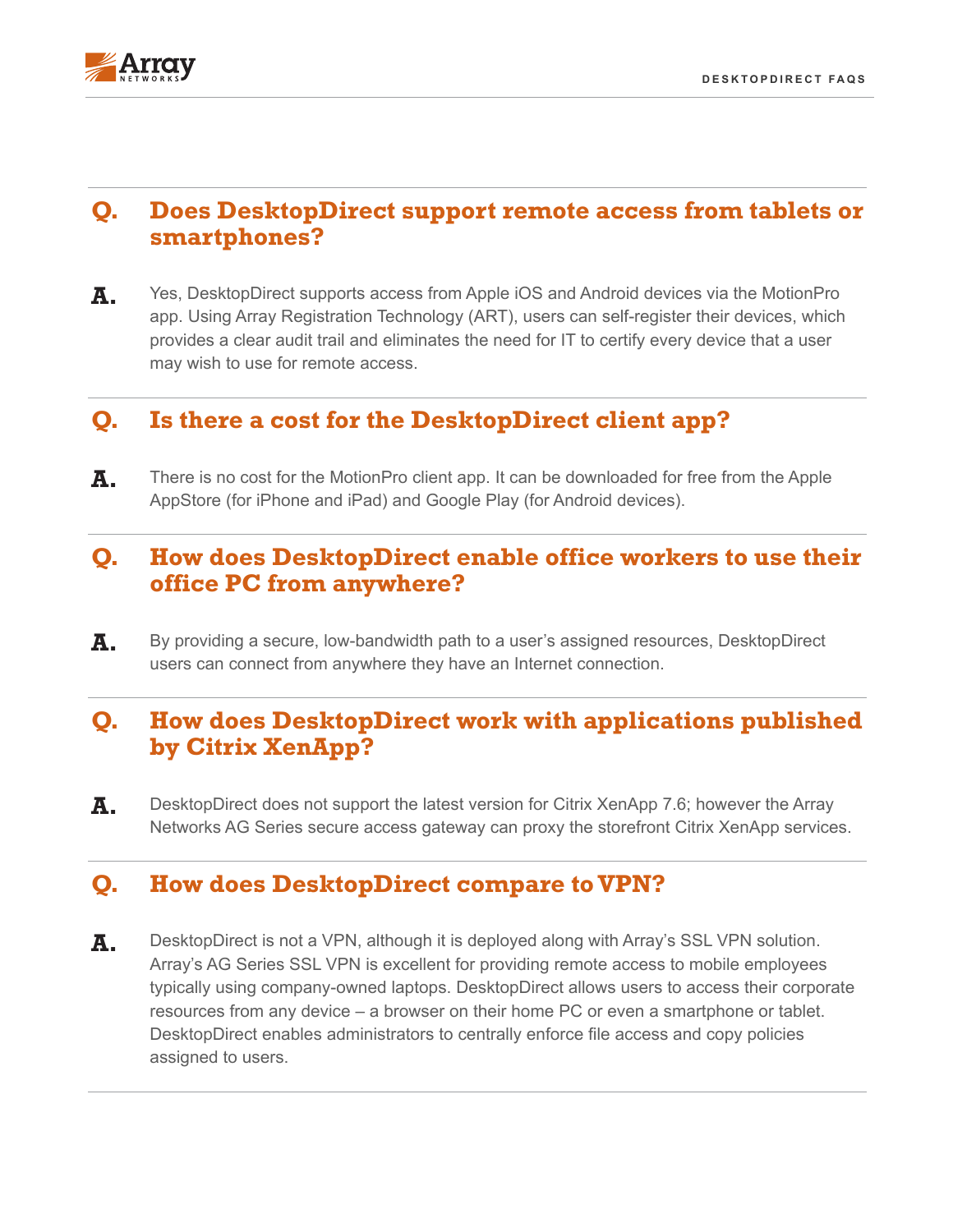

# **Q. DesktopDirect**는 태블릿/스마트폰을 통해서도 이용할 수 있습니까**?**

**A.** <sup>예</sup>, MotionProapp<sup>를</sup> 통한 Apple iOS 및 Android 장치에서의 액세스를 지원합니다. 사용자는 ART (Array Registration Technology)를 사용하여 장치를 스스로 등록 할 수 있으 므로 명확한 감사 추적을 제공하고, IT 부서 관리자가 사용자가 원격 액세스에 사용하려는 모 든 장치에 대해 인증 할 필요가 없습니다.

### **Q. Is there a cost for the DesktopDirect client app?**

**A.** There is no cost for the MotionPro client app. It can be downloaded for free from the Apple AppStore (for iPhone and iPad) and Google Play (for Android devices).

#### **Q. How does DesktopDirect enable office workers to use their office PC from anywhere?**

A. By providing a secure, low-bandwidth path to a user's assigned resources, DesktopDirect users can connect from anywhere they have an Internet connection.

## **Q. How does DesktopDirect work with applications published by Citrix XenApp?**

**A.** DesktopDirect does not support the latest version for Citrix XenApp 7.6; however the Array Networks AG Series secure access gateway can proxy the storefront Citrix XenApp services.

#### **Q. How does DesktopDirect compare to VPN?**

**A.** DesktopDirect is not a VPN, although it is deployed along with Array's SSL VPN solution. Array's AG Series SSL VPN is excellent for providing remote access to mobile employees typically using company-owned laptops. DesktopDirect allows users to access their corporate resources from any device – a browser on their home PC or even a smartphone or tablet. DesktopDirect enables administrators to centrally enforce file access and copy policies assigned to users.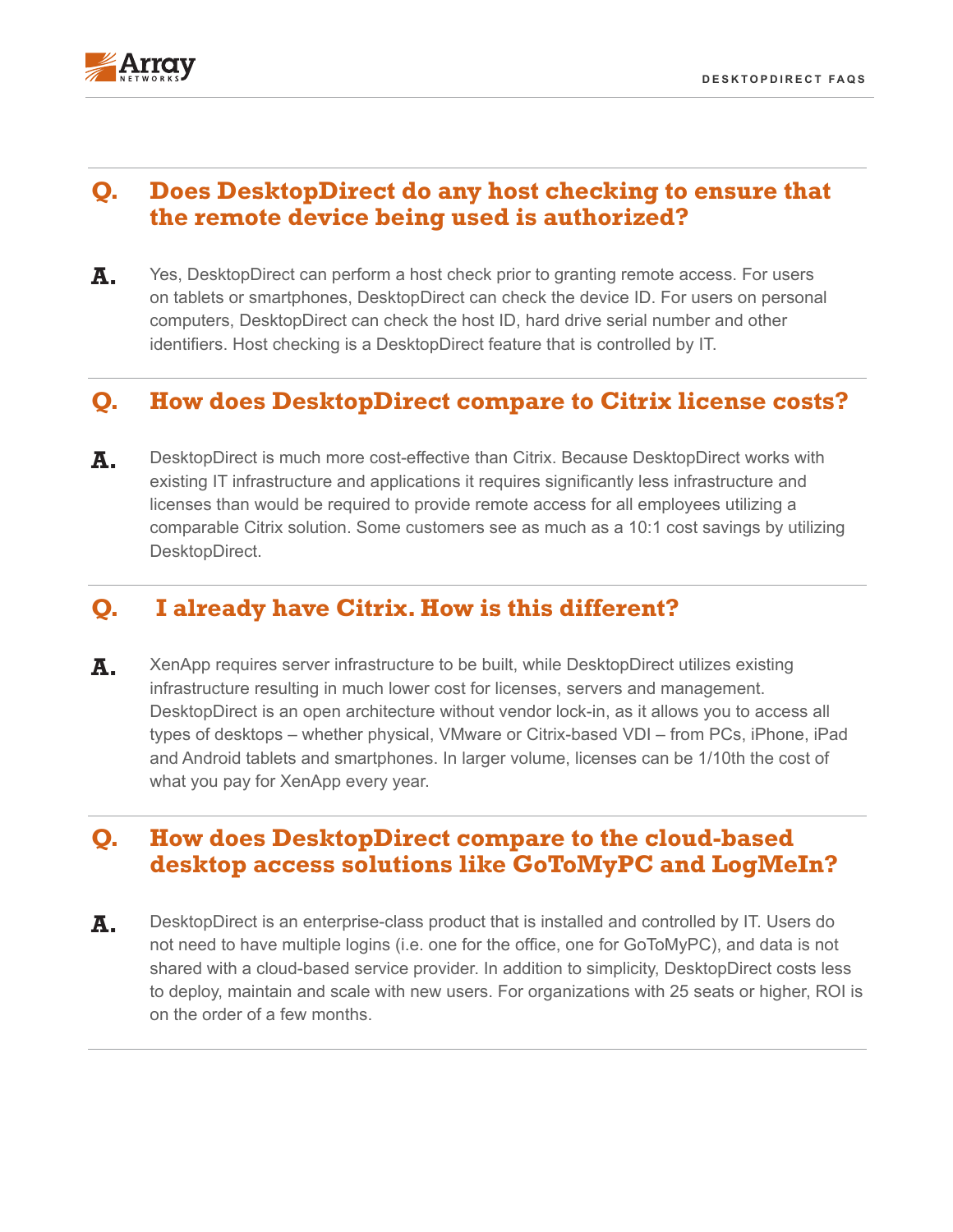

#### **Q. Does DesktopDirect do any host checking to ensure that the remote device being used is authorized?**

**A.** Yes, DesktopDirect can perform a host check prior to granting remote access. For users on tablets or smartphones, DesktopDirect can check the device ID. For users on personal computers, DesktopDirect can check the host ID, hard drive serial number and other identifiers. Host checking is a DesktopDirect feature that is controlled by IT.

## **Q. How does DesktopDirect compare to Citrix license costs?**

**A.** DesktopDirect is much more cost-effective than Citrix. Because DesktopDirect works with existing IT infrastructure and applications it requires significantly less infrastructure and licenses than would be required to provide remote access for all employees utilizing a comparable Citrix solution. Some customers see as much as a 10:1 cost savings by utilizing DesktopDirect.

## **Q. I already have Citrix. How is this different?**

**A.** XenApp requires server infrastructure to be built, while DesktopDirect utilizes existing infrastructure resulting in much lower cost for licenses, servers and management. DesktopDirect is an open architecture without vendor lock-in, as it allows you to access all types of desktops – whether physical, VMware or Citrix-based VDI – from PCs, iPhone, iPad and Android tablets and smartphones. In larger volume, licenses can be 1/10th the cost of what you pay for XenApp every year.

#### **Q. How does DesktopDirect compare to the cloud-based desktop access solutions like GoToMyPC and LogMeIn?**

**A.** DesktopDirect is an enterprise-class product that is installed and controlled by IT. Users do not need to have multiple logins (i.e. one for the office, one for GoToMyPC), and data is not shared with a cloud-based service provider. In addition to simplicity, DesktopDirect costs less to deploy, maintain and scale with new users. For organizations with 25 seats or higher, ROI is on the order of a few months.